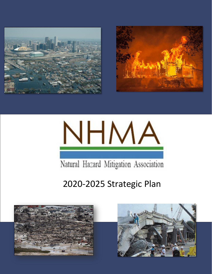





Natural Hazard Mitigation Association

# 2020-2025 Strategic Plan



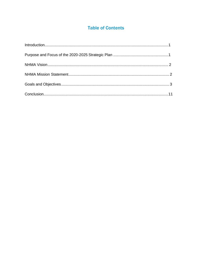### **Table of Contents**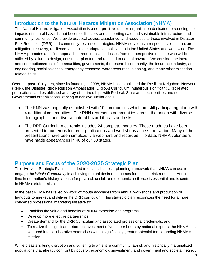# Introduction to the Natural Hazards Mitigation Association (NHMA)

The Natural Hazard Mitigation Association is a non-profit volunteer organization dedicated to reducing the impacts of natural hazards that become disasters and supporting safe and sustainable infrastructure and community resilience. We provide practical advice, assistance, and resources to those involved in Disaster Risk Reduction (DRR) and community resilience strategies. NHMA serves as a respected voice in hazard mitigation, recovery, resilience, and climate adaptation policy both in the United States and worldwide. The NHMA promotes a unified approach to reduce disaster losses from the perspective of those who will be afflicted by failure to design, construct, plan for, and respond to natural hazards. We consider the interests and contributions/roles of communities, governments, the research community, the insurance industry, and engineering, social sciences, emergency response, water resources, planning, and many other mitigation related fields.

Over the past 10 + years, since its founding in 2008, NHMA has established the Resilient Neighbors Network (RNN), the Disaster Risk Reduction Ambassador (DRR-A) Curriculum, numerous significant DRR related publications, and established an array of partnerships with Federal, State and Local entities and non-Governmental organizations working to achieve similar goals.

- The RNN was originally established with 10 communities which are still participating along with 4 additional communities. The RNN represents communities across the nation with diverse demographics and diverse natural hazard threats and risks.
- The DRR Curriculum currently includes 24 complete modules. These modules have been presented in numerous lectures, publications and workshops across the Nation. Many of the presentations have been simulcast via webinars and recorded. To date, NHMA volunteers have made appearances in 46 of our 50 states.

## Purpose and Focus of the 2020-2025 Strategic Plan

This five-year Strategic Plan is intended to establish a clear planning framework that NHMA can use to engage the *Whole Community* in achieving mutual desired outcomes for disaster risk reduction. At this time in our nation's history, a push for physical, social, and economic resilience is essential and is central to NHMA's stated mission.

In the past NHMA has relied on word of mouth accolades from annual workshops and production of handouts to market and deliver the DRR curriculum. This strategic plan recognizes the need for a more concerted professional marketing initiative to:

- Establish the value and benefits of NHMA expertise and programs,
- Develop more effective partnerships,
- Create demand for the DRR Curriculum and associated professional credentials, and
- To realize the significant return on investment of volunteer hours by national experts, the NHMA has ventured into collaborative enterprises with a significantly greater potential for expanding NHMA's mission.

While disasters bring disruption and suffering to an entire community, at-risk and historically marginalized populations that already confront by poverty, economic disinvestment, and government and societal neglect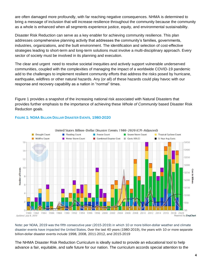are often damaged more profoundly, with far reaching negative consequences. NHMA is determined to bring a message of inclusion that will increase resilience throughout the community because the community as a whole is enhanced when all segments experience justice, equity, and environmental sustainability.

Disaster Risk Reduction can serve as a key enabler for achieving community resilience. This plan addresses comprehensive planning activity that addresses the community's families, governments, industries, organizations, and the built environment. The identification and selection of cost-effective strategies leading to short-term and long-term solutions must involve a multi-disciplinary approach. Every sector of society must be involved in its planning and execution.

The clear and urgent need to resolve societal inequities and actively support vulnerable underserved communities, coupled with the complexities of managing the impact of a worldwide COVID-19 pandemic add to the challenges to implement resilient community efforts that address the risks posed by hurricane, earthquake, wildfires or other natural hazards. Any (or all) of these hazards could play havoc with our response and recovery capability as a nation in "normal" times.

Figure 1 provides a snapshot of the increasing national risk associated with Natural Disasters that provides further emphasis to the importance of achieving these *Whole of Community* based Disaster Risk Reduction goals.



#### FIGURE 1: NOAA BILLION DOLLAR DISASTER EVENTS, 1980-2020

Note: per NOAA, 2019 was the fifth consecutive year (2015-2019) in which 10 or more billion-dollar weather and climate disaster events have impacted the United States. Over the last 40 years (1980-2019), the years with 10 or more separate billion-dollar disaster events include 1998, 2008, 2011-2012, and 2015-2019

The NHMA Disaster Risk Reduction Curriculum is ideally suited to provide an educational tool to help advance a fair, equitable, and safe future for our nation. The curriculum accords special attention to the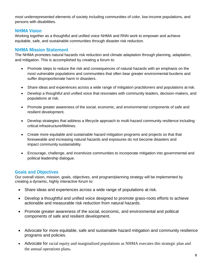most underrepresented elements of society including communities of color, low-income populations, and persons with disabilities.

#### NHMA Vision

Working together as a thoughtful and unified voice NHMA and RNN work to empower and achieve equitable, safe, and sustainable communities through disaster risk reduction.

#### NHMA Mission Statement

The NHMA promotes natural hazards risk reduction and climate adaptation through planning, adaptation, and mitigation. This is accomplished by creating a forum to:

- Promote steps to reduce the risk and consequences of natural hazards with an emphasis on the most vulnerable populations and communities that often bear greater environmental burdens and suffer disproportionate harm in disasters.
- Share ideas and experiences across a wide range of mitigation practitioners and populations at risk.
- Develop a thoughtful and unified voice that resonates with community leaders, decision-makers, and populations at risk.
- Promote greater awareness of the social, economic, and environmental components of safe and resilient development.
- Develop strategies that address a lifecycle approach to multi-hazard community resilience including critical infrastructure/lifelines.
- Create more equitable and sustainable hazard mitigation programs and projects so that that foreseeable and increasing natural hazards and exposures do not become disasters and impact community sustainability.
- Encourage, challenge, and incentivize communities to incorporate mitigation into governmental and political leadership dialogue.

#### Goals and Objectives

Our overall vision, mission, goals, objectives, and program/planning strategy will be implemented by creating a dynamic, highly interactive forum to:

- Share ideas and experiences across a wide range of populations at risk.
- Develop a thoughtful and unified voice designed to promote grass-roots efforts to achieve actionable and measurable risk reduction from natural hazards.
- Promote greater awareness of the social, economic, and environmental and political components of safe and resilient development.
- Advocate for more equitable, safe and sustainable hazard mitigation and community resilience programs and policies.
- Advocate for racial equity and marginalized populations as NHMA executes this strategic plan and the annual operations plans**.**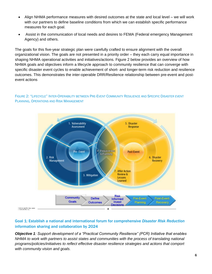- Align NHMA performance measures with desired outcomes at the state and local level we will work with our partners to define baseline conditions from which we can establish specific performance measures for each goal.
- Assist in the communication of local needs and desires to FEMA (Federal emergency Management Agency) and others.

The goals for this five-year strategic plan were carefully crafted to ensure alignment with the overall organizational vision. The goals are not presented in a priority order – they each carry equal importance in shaping NHMA operational activities and initiatives/actions. Figure 2 below provides an overview of how NHMA goals and objectives inform a lifecycle approach to community resilience that can converge with specific disaster event cycles to enable achievement of short- and longer-term risk reduction and resilience outcomes. This demonstrates the inter-operable DRR/Resilience relationship between pre-event and postevent actions



FIGURE 2: "LIFECYCLE" INTER-OPERABILITY BETWEEN PRE-EVENT COMMUNITY RESILIENCE AND SPECIFIC DISASTER EVENT PLANNING, OPERATIONS AND RISK MANAGEMENT

#### Goal 1: Establish a national and international forum for comprehensive *Disaster Risk Reduction* information sharing and collaboration by 2024

*Objective 1: Support development of a "Practical Community Resilience" (PCR) Initiative that enables NHMA to work with partners to assist states and communities with the process of translating national programs/policies/initiatives to reflect effective disaster resilience strategies and actions that comport with community vision and goals.*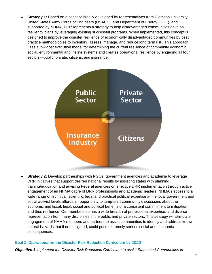**Strategy 1:** Based on a concept initially developed by representatives from Clemson University, United States Army Corps of Engineers (USACE), and Department of Energy (DOE), and supported by NHMA, PCR represents a strategy to help disadvantaged communities develop resiliency plans by leveraging existing successful programs. When implemented, this concept is designed to improve the disaster resilience of economically disadvantaged communities by best practice methodologies to inventory, assess, manage, and reduce long term risk. This approach uses a low-cost execution model for determining the current resilience of community economic, social, environmental and lifeline systems and creates operational resilience by engaging all four sectors—public, private, citizens, and insurance.



**Strategy 2:** Develop partnerships with NGOs, government agencies and academia to leverage DRR initiatives that support desired national results by assisting states with planning, training/education and advising Federal agencies on effective DRR implementation through active engagement of an NHMA cadre of DRR professionals and academic leaders. NHMA's access to a wide range of technical, scientific, legal and practical political expertise at the local government and social activist levels affords an opportunity to jump-start community discussions about the economic and fiscal, legal, social and political benefits of a consistent commitment to mitigation, and thus resilience. Our membership has a wide breadth of professional expertise, and diverse representation from many disciplines in the public and private sectors. This strategy will stimulate engagement of NHMA members and partners to assist communities to identify and address known natural hazards that if not mitigated, could pose extremely serious social and economic consequences.

#### Goal 2: Operationalize the Disaster Risk Reduction Curriculum by 2022

*Objective 1 Implement the Disaster Risk Reduction Curriculum to assist States and Communities in*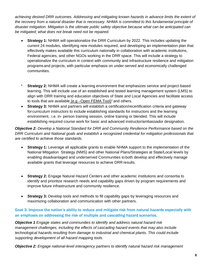*achieving desired DRR outcomes. Addressing and mitigating known hazards in advance limits the extent of the recovery from a natural disaster that is necessary. NHMA is committed to this fundamental principle of disaster mitigation. Mitigation is the ultimate public safety objective because what can be anticipated can be mitigated; what does not break need not be repaired.*

- **Strategy 1:** NHMA will operationalize the DRR Curriculum by 2022. This includes updating the current 24 modules, identifying new modules required, and developing an implementation plan that effectively makes available this curriculum nationally in collaboration with academic institutions, Federal agencies, and other NGOs working in the DRR space. This will include a strategy to operationalize the curriculum in context with community and infrastructure resilience and mitigation programsand projects, with particular emphasis on under-served and economically challenged communities.
- **Strategy 2:** NHMA will create a learning environment that emphasizes service and project-based learning. This will include use of an established and tested learning management system (LMS) to align with DRR training and education objectives of State and Local Agencies and facilitate access to tools that are available (e.g  $-$ Open FEMA Tool)<sup>1</sup> and others.
- **Strategy 3:** NHMA and partners will establish a certification/recertification criteria and gateway forcurriculum instructors to include establishing standards for instructors and the learning environment, i.e. in- person training session, online training or blended. This will include establishing required course work for basic and advanced instructor/ambassador designation.

*Objective 2: Develop a National Standard for DRR and Community Resilience Performance based on the DRR Curriculum and National goals and establish a recognized credential for mitigation professionals that are certified to achieve those standards.*

- **Strategy 1:** Leverage all applicable grants to enable NHMA support to the implementation of the National Mitigation Strategy (NMS) and other National Plans/Strategies at State/Local levels by enabling disadvantaged and underserved Communities to both develop and effectively manage available grants that leverage resources to achieve DRR results.
- **Strategy 2:** Engage Natural Hazard Centers and other academic institutions and consortia to identify and prioritize research needs and capability gaps driven by program requirements and improve future infrastructure and community resilience.
- **Strategy 3:** Develop tools and methods to fill capability gaps by leveraging resources and maximizing collaboration and communication with other partners.

#### Goal 3: Improve the nation's ability to reduce and mitigate risk from natural hazards especially with an emphasis on addressing the risk of multiple and cascading hazard scenarios.

*Objective 1 Engage states and communities to identify and address natural hazard risk management challenges, including the effects of cascading hazard events that may also include technological hazards resulting from damage to industrial and chemical plants. This could include supporting development of all hazard mapping tools.*

*Objective 2: Engage national-level interagency partners to identify natural hazard risk management*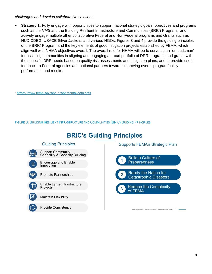*challenges and develop collaborative solutions.*

• **Strategy 1:** Fully engage with opportunities to support national strategic goals, objectives and programs such as the *NMS* and the Building Resilient Infrastructure and Communities (BRIC) Program, and actively engage multiple other collaborative Federal and Non-Federal programs and Grants such as HUD CDBG, USACE Silver Jackets, and various NGOs. Figures 3 and 4 provide the guiding principles of the BRIC Program and the key elements of good mitigation projects established by FEMA, which align well with NHMA objectives overall. The overall role for NHMA will be to serve as an "ombudsman" for assisting communities in aligning and engaging a broad portfolio of DRR programs and grants with their specific DRR needs based on quality risk assessments and mitigation plans, and to provide useful feedback to Federal agencies and national partners towards improving overall program/policy performance and results.

<sup>1</sup><https://www.fema.gov/about/openfema/data-sets>

Innovation

**Maintain Flexibility** 

FIGURE 3: BUILDING RESILIENT INFRASTRUCTURE AND COMMUNITIES (BRIC) GUIDING PRINCIPLES



# **BRIC's Guiding Principles**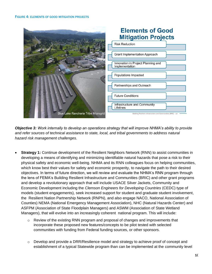

*Objective 3: Work internally to develop an operations strategy that will improve NHMA's ability to provide and refer sources of technical assistance to state, local, and tribal governments to address natural hazard risk management challenges.*

- **Strategy 1:** Continue development of the Resilient Neighbors Network (RNN) to assist communities in developing a means of identifying and minimizing identifiable natural hazards that pose a risk to their physical safety and economic well-being. NHMA and its RNN colleagues focus on helping communities, which know best their values for safety and economic prosperity, to navigate the path to their desired objectives. In terms of future direction, we will review and evaluate the NHMA's RNN program through the lens of FEMA's Building Resilient Infrastructure and Communities (BRIC) and other grant programs and develop a revolutionary approach that will include USACE Silver Jackets, Community and Economic Development including the *Clemson Engineers for Developing Countries* (CEDC) type of models (student engagements), seek increased support for student and graduate student involvement, the Resilient Nation Partnership Network (RNPN), and also engage NACO, National Association of Counties) NEMA (National Emergency Management Association), NHC (Natural Hazards Center) and ASFPM (Association of State Floodplain Managers) and ASWM (Association of State Wetland Managers), that will evolve into an increasingly coherent national program. This will include:
	- $\circ$  Review of the existing RNN program and proposal of changes and improvements that incorporate these proposed new features/concepts to be pilot tested with selected communities with funding from Federal funding sources, or other sponsors.
	- $\circ$  Develop and provide a DRR/Resilience model and strategy to achieve proof of concept and establishment of a typical Statewide program than can be implemented at the community level